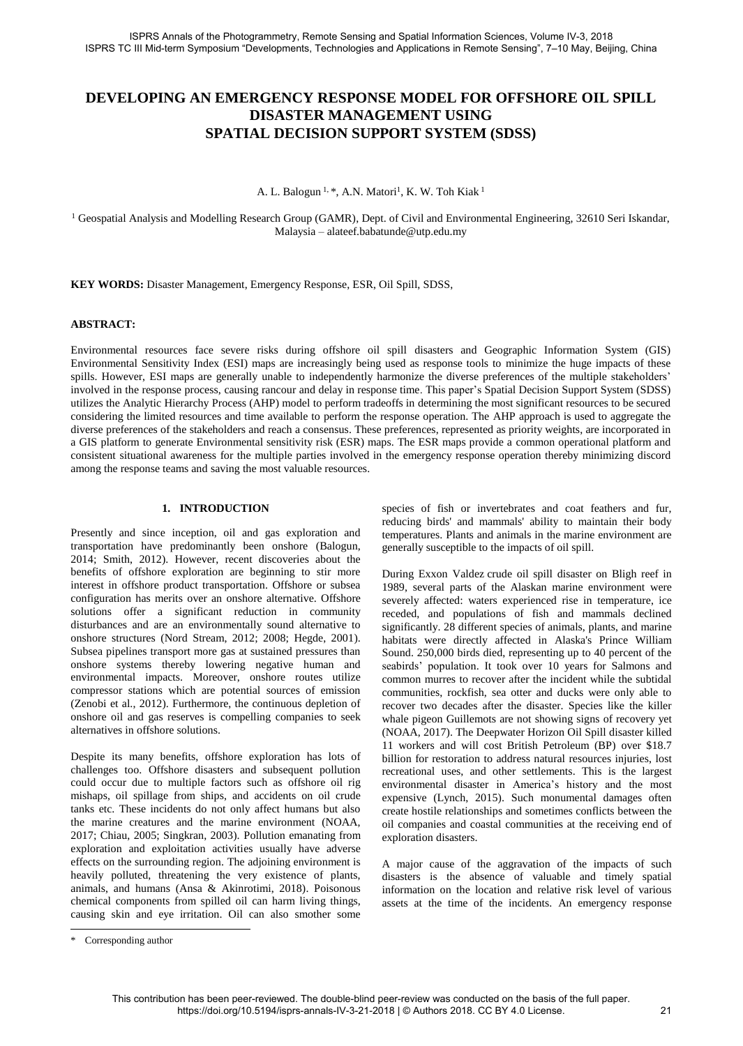# **DEVELOPING AN EMERGENCY RESPONSE MODEL FOR OFFSHORE OIL SPILL DISASTER MANAGEMENT USING SPATIAL DECISION SUPPORT SYSTEM (SDSS)**

A. L. Balogun <sup>1, \*</sup>, A.N. Matori<sup>1</sup>, K. W. Toh Kiak <sup>1</sup>

<sup>1</sup> Geospatial Analysis and Modelling Research Group (GAMR), Dept. of Civil and Environmental Engineering, 32610 Seri Iskandar, Malaysia – alateef.babatunde@utp.edu.my

**KEY WORDS:** Disaster Management, Emergency Response, ESR, Oil Spill, SDSS,

#### **ABSTRACT:**

Environmental resources face severe risks during offshore oil spill disasters and Geographic Information System (GIS) Environmental Sensitivity Index (ESI) maps are increasingly being used as response tools to minimize the huge impacts of these spills. However, ESI maps are generally unable to independently harmonize the diverse preferences of the multiple stakeholders' involved in the response process, causing rancour and delay in response time. This paper's Spatial Decision Support System (SDSS) utilizes the Analytic Hierarchy Process (AHP) model to perform tradeoffs in determining the most significant resources to be secured considering the limited resources and time available to perform the response operation. The AHP approach is used to aggregate the diverse preferences of the stakeholders and reach a consensus. These preferences, represented as priority weights, are incorporated in a GIS platform to generate Environmental sensitivity risk (ESR) maps. The ESR maps provide a common operational platform and consistent situational awareness for the multiple parties involved in the emergency response operation thereby minimizing discord among the response teams and saving the most valuable resources.

### **1. INTRODUCTION**

Presently and since inception, oil and gas exploration and transportation have predominantly been onshore (Balogun, 2014; Smith, 2012). However, recent discoveries about the benefits of offshore exploration are beginning to stir more interest in offshore product transportation. Offshore or subsea configuration has merits over an onshore alternative. Offshore solutions offer a significant reduction in community disturbances and are an environmentally sound alternative to onshore structures (Nord Stream, 2012; 2008; Hegde, 2001). Subsea pipelines transport more gas at sustained pressures than onshore systems thereby lowering negative human and environmental impacts. Moreover, onshore routes utilize compressor stations which are potential sources of emission (Zenobi et al., 2012). Furthermore, the continuous depletion of onshore oil and gas reserves is compelling companies to seek alternatives in offshore solutions.

Despite its many benefits, offshore exploration has lots of challenges too. Offshore disasters and subsequent pollution could occur due to multiple factors such as offshore oil rig mishaps, oil spillage from ships, and accidents on oil crude tanks etc. These incidents do not only affect humans but also the marine creatures and the marine environment (NOAA, 2017; Chiau, 2005; Singkran, 2003). Pollution emanating from exploration and exploitation activities usually have adverse effects on the surrounding region. The adjoining environment is heavily polluted, threatening the very existence of plants, animals, and humans (Ansa & Akinrotimi, 2018). Poisonous chemical components from spilled oil can harm living things, causing skin and eye irritation. Oil can also smother some

species of fish or invertebrates and coat feathers and fur, reducing birds' and mammals' ability to maintain their body temperatures. Plants and animals in the marine environment are generally susceptible to the impacts of oil spill.

During Exxon Valdez crude oil spill disaster on Bligh reef in 1989, several parts of the Alaskan marine environment were severely affected: waters experienced rise in temperature, ice receded, and populations of fish and mammals declined significantly. 28 different species of animals, plants, and marine habitats were directly affected in Alaska's Prince William Sound. 250,000 birds died, representing up to 40 percent of the seabirds' population. It took over 10 years for Salmons and common murres to recover after the incident while the subtidal communities, rockfish, sea otter and ducks were only able to recover two decades after the disaster. Species like the killer whale pigeon Guillemots are not showing signs of recovery yet (NOAA, 2017). The Deepwater Horizon Oil Spill disaster killed 11 workers and will cost British Petroleum (BP) over \$18.7 billion for restoration to address natural resources injuries, lost recreational uses, and other settlements. This is the largest environmental disaster in America's history and the most expensive (Lynch, 2015). Such monumental damages often create hostile relationships and sometimes conflicts between the oil companies and coastal communities at the receiving end of exploration disasters.

A major cause of the aggravation of the impacts of such disasters is the absence of valuable and timely spatial information on the location and relative risk level of various assets at the time of the incidents. An emergency response

 $\overline{a}$ 

<sup>\*</sup> Corresponding author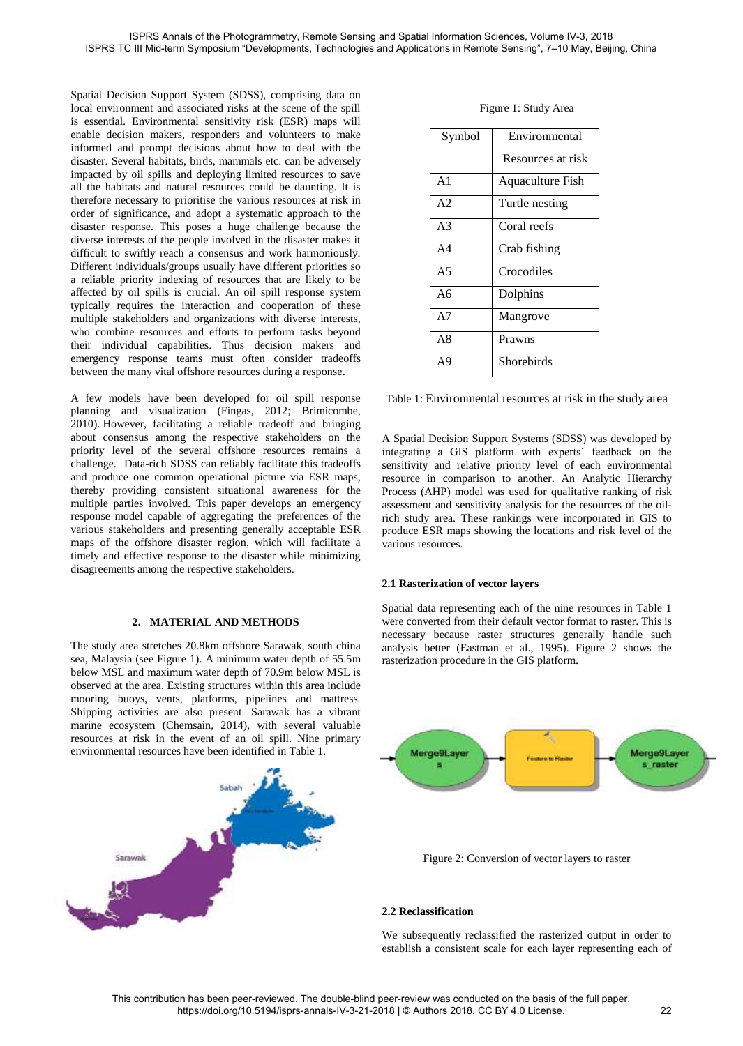Spatial Decision Support System (SDSS), comprising data on local environment and associated risks at the scene of the spill is essential. Environmental sensitivity risk (ESR) maps will enable decision makers, responders and volunteers to make informed and prompt decisions about how to deal with the disaster. Several habitats, birds, mammals etc. can be adversely impacted by oil spills and deploying limited resources to save all the habitats and natural resources could be daunting. It is therefore necessary to prioritise the various resources at risk in order of significance, and adopt a systematic approach to the disaster response. This poses a huge challenge because the diverse interests of the people involved in the disaster makes it difficult to swiftly reach a consensus and work harmoniously. Different individuals/groups usually have different priorities so a reliable priority indexing of resources that are likely to be affected by oil spills is crucial. An oil spill response system typically requires the interaction and cooperation of these multiple stakeholders and organizations with diverse interests, who combine resources and efforts to perform tasks beyond their individual capabilities. Thus decision makers and emergency response teams must often consider tradeoffs between the many vital offshore resources during a response.

A few models have been developed for oil spill response planning and visualization (Fingas, 2012; [Brimicombe,](http://www.sciencedirect.com/science/article/pii/S0025326X16304246#bb0085)  [2010\)](http://www.sciencedirect.com/science/article/pii/S0025326X16304246#bb0085). However, facilitating a reliable tradeoff and bringing about consensus among the respective stakeholders on the priority level of the several offshore resources remains a challenge. Data-rich SDSS can reliably facilitate this tradeoffs and produce one common operational picture via ESR maps, thereby providing consistent situational awareness for the multiple parties involved. This paper develops an emergency response model capable of aggregating the preferences of the various stakeholders and presenting generally acceptable ESR maps of the offshore disaster region, which will facilitate a timely and effective response to the disaster while minimizing disagreements among the respective stakeholders.

## **2. MATERIAL AND METHODS**

The study area stretches 20.8km offshore Sarawak, south china sea, Malaysia (see Figure 1). A minimum water depth of 55.5m below MSL and maximum water depth of 70.9m below MSL is observed at the area. Existing structures within this area include mooring buoys, vents, platforms, pipelines and mattress. Shipping activities are also present. Sarawak has a vibrant marine ecosystem (Chemsain, 2014), with several valuable resources at risk in the event of an oil spill. Nine primary environmental resources have been identified in Table 1.



| Symbol         | Environmental           |
|----------------|-------------------------|
|                | Resources at risk       |
| A <sub>1</sub> | <b>Aquaculture Fish</b> |
| A <sub>2</sub> | Turtle nesting          |
| A <sub>3</sub> | Coral reefs             |
| A <sub>4</sub> | Crab fishing            |
| A <sub>5</sub> | Crocodiles              |
| A6             | Dolphins                |
| A7             | Mangrove                |
| A8             | Prawns                  |
| A9             | Shorebirds              |

Table 1: Environmental resources at risk in the study area

A Spatial Decision Support Systems (SDSS) was developed by integrating a GIS platform with experts' feedback on the sensitivity and relative priority level of each environmental resource in comparison to another. An Analytic Hierarchy Process (AHP) model was used for qualitative ranking of risk assessment and sensitivity analysis for the resources of the oilrich study area. These rankings were incorporated in GIS to produce ESR maps showing the locations and risk level of the various resources.

## **2.1 Rasterization of vector layers**

Spatial data representing each of the nine resources in Table 1 were converted from their default vector format to raster. This is necessary because raster structures generally handle such analysis better (Eastman et al., 1995). Figure 2 shows the rasterization procedure in the GIS platform.



# **2.2 Reclassification**

We subsequently reclassified the rasterized output in order to establish a consistent scale for each layer representing each of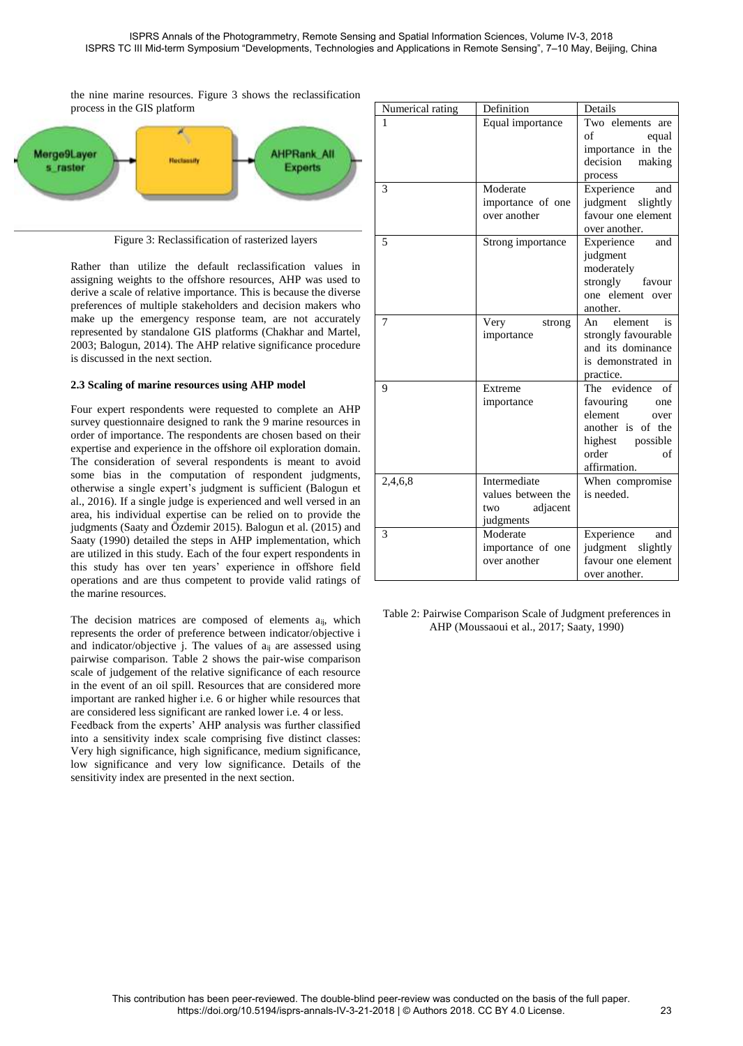the nine marine resources. Figure 3 shows the reclassification process in the GIS platform



Figure 3: Reclassification of rasterized layers

Rather than utilize the default reclassification values in assigning weights to the offshore resources, AHP was used to derive a scale of relative importance. This is because the diverse preferences of multiple stakeholders and decision makers who make up the emergency response team, are not accurately represented by standalone GIS platforms (Chakhar and Martel, 2003; Balogun, 2014). The AHP relative significance procedure is discussed in the next section.

# **2.3 Scaling of marine resources using AHP model**

Four expert respondents were requested to complete an AHP survey questionnaire designed to rank the 9 marine resources in order of importance. The respondents are chosen based on their expertise and experience in the offshore oil exploration domain. The consideration of several respondents is meant to avoid some bias in the computation of respondent judgments, otherwise a single expert's judgment is sufficient (Balogun et al., 2016). If a single judge is experienced and well versed in an area, his individual expertise can be relied on to provide the judgments (Saaty and Özdemir 2015). Balogun et al. (2015) and Saaty (1990) detailed the steps in AHP implementation, which are utilized in this study. Each of the four expert respondents in this study has over ten years' experience in offshore field operations and are thus competent to provide valid ratings of the marine resources.

The decision matrices are composed of elements a<sub>ij</sub>, which represents the order of preference between indicator/objective i and indicator/objective j. The values of aij are assessed using pairwise comparison. Table 2 shows the pair-wise comparison scale of judgement of the relative significance of each resource in the event of an oil spill. Resources that are considered more important are ranked higher i.e. 6 or higher while resources that are considered less significant are ranked lower i.e. 4 or less.

Feedback from the experts' AHP analysis was further classified into a sensitivity index scale comprising five distinct classes: Very high significance, high significance, medium significance, low significance and very low significance. Details of the sensitivity index are presented in the next section.

| Numerical rating | Definition                   | Details                                |
|------------------|------------------------------|----------------------------------------|
| 1                | Equal importance             | Two elements are                       |
|                  |                              | of<br>equal                            |
|                  |                              | importance in the                      |
|                  |                              | decision<br>making                     |
|                  |                              | process                                |
| 3                | Moderate                     | Experience<br>and                      |
|                  | importance of one            | judgment slightly                      |
|                  | over another                 | favour one element                     |
|                  |                              | over another.                          |
| 5                | Strong importance            | Experience<br>and                      |
|                  |                              | judgment                               |
|                  |                              | moderately                             |
|                  |                              | strongly<br>favour<br>one element over |
|                  |                              | another.                               |
| 7                |                              | element<br>is                          |
|                  | Very<br>strong<br>importance | An<br>strongly favourable              |
|                  |                              | and its dominance                      |
|                  |                              | is demonstrated in                     |
|                  |                              | practice.                              |
| 9                | Extreme                      | The evidence of                        |
|                  | importance                   | favouring<br>one                       |
|                  |                              | element<br>over                        |
|                  |                              | another is of the                      |
|                  |                              | highest possible                       |
|                  |                              | order<br>of                            |
|                  |                              | affirmation.                           |
| 2,4,6,8          | Intermediate                 | When compromise                        |
|                  | values between the           | is needed.                             |
|                  | adjacent<br>two              |                                        |
|                  | judgments                    |                                        |
| 3                | Moderate                     | Experience<br>and                      |
|                  | importance of one            | judgment slightly                      |
|                  | over another                 | favour one element                     |
|                  |                              | over another.                          |

Table 2: Pairwise Comparison Scale of Judgment preferences in AHP (Moussaoui et al., 2017; Saaty, 1990)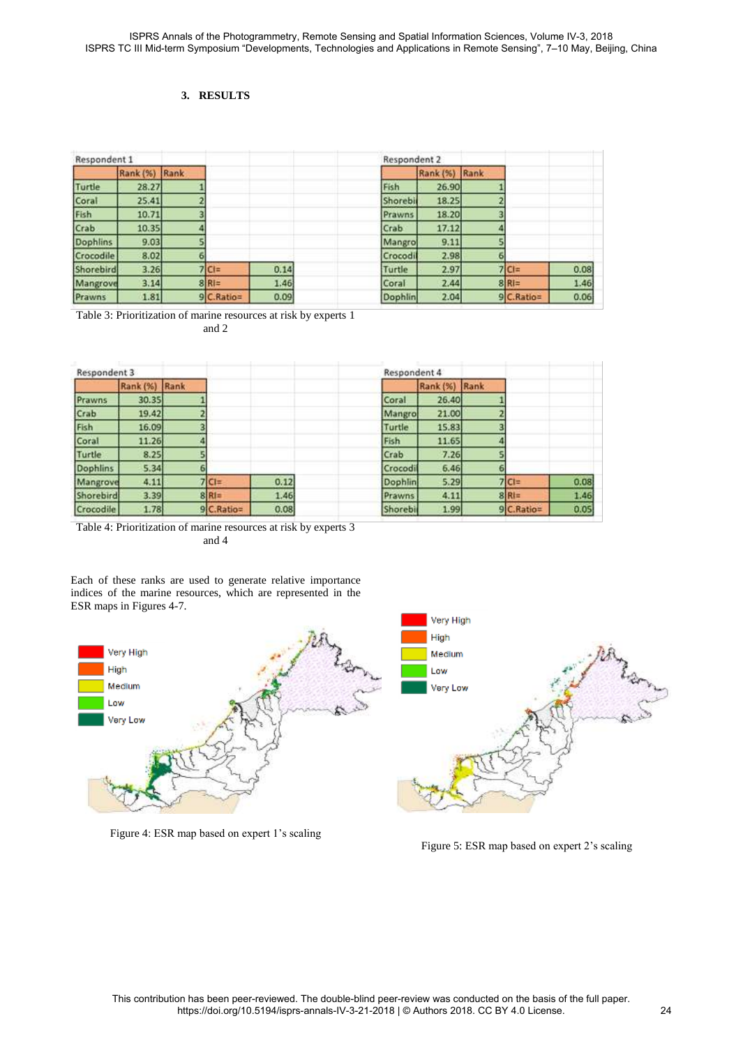# **3. RESULTS**

| Respondent 1    |                 |      |              |      | Respondent 2 |               |   |             |      |
|-----------------|-----------------|------|--------------|------|--------------|---------------|---|-------------|------|
|                 | <b>Rank (%)</b> | Rank |              |      |              | Rank (%) Rank |   |             |      |
| Turtle          | 28.27           |      |              |      | Fish         | 26.90         |   |             |      |
| Coral           | 25.41           |      |              |      | Shorebir     | 18.25         |   |             |      |
| Fish            | 10.71           |      |              |      | Prawns       | 18.20         |   |             |      |
| Crab            | 10.35           |      |              |      | Crab         | 17.12         |   |             |      |
| <b>Dophlins</b> | 9.03            |      |              |      | Mangro       | 9.11          |   |             |      |
| Crocodile       | 8.02            | 6    |              |      | Crocodi      | 2.98          | 6 |             |      |
| Shorebird       | 3.26            |      | $7 C =$      | 0.14 | Turtle       | 2.97          |   | $7 C =$     | 0.08 |
| Mangrove        | 3.14            |      | 8 R          | 1.46 | Coral        | 2.44          |   | 8 R         | 1.46 |
| Prawns          | 1.81            |      | $9C.Ratio =$ | 0.09 | Dophlin      | 2.04          |   | $9C.Ratio=$ | 0.06 |

Table 3: Prioritization of marine resources at risk by experts 1 and 2

| Respondent 3 |               |   |              |      | Respondent 4 |               |   |              |      |
|--------------|---------------|---|--------------|------|--------------|---------------|---|--------------|------|
|              | Rank (%) Rank |   |              |      |              | Rank (%) Rank |   |              |      |
| Prawns       | 30.35         |   |              |      | Coral        | 26,40         |   |              |      |
| Crab         | 19.42         |   |              |      | Mangro       | 21.00         |   |              |      |
| Fish         | 16.09         | 3 |              |      | Turtle       | 15.83         |   |              |      |
| Coral        | 11.26         |   |              |      | Fish         | 11.65         |   |              |      |
| Turtle       | 8.25          |   |              |      | Crab         | 7.26          |   |              |      |
| Dophlins     | 5.34          |   |              |      | Crocodi      | 6.46          | 6 |              |      |
| Mangrove     | 4.11          |   | $7 Cl=$      | 0.12 | Dophlin      | 5.29          |   | $7 Cl=$      | 0.08 |
| Shorebird    | 3.39          |   | 8 R          | 1.46 | Prawns       | 4.11          |   | $8R =$       | 1.46 |
| Crocodile    | 1.78          |   | $9C.Ratio =$ | 0.08 | Shorebil     | 1.99          |   | $9C.Ratio =$ | 0.05 |

Table 4: Prioritization of marine resources at risk by experts 3 and 4

Each of these ranks are used to generate relative importance indices of the marine resources, which are represented in the ESR maps in Figures 4-7.



Figure 4: ESR map based on expert 1's scaling

Figure 5: ESR map based on expert 2's scaling

1.46 0.05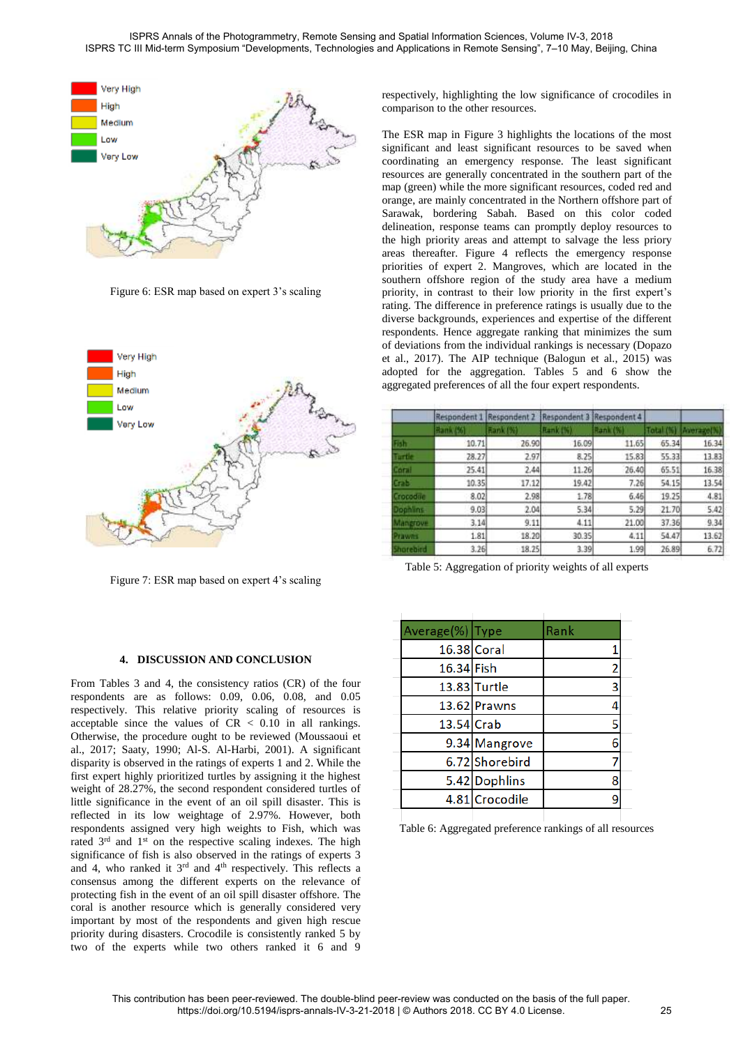

Figure 6: ESR map based on expert 3's scaling



Figure 7: ESR map based on expert 4's scaling

### **4. DISCUSSION AND CONCLUSION**

From Tables 3 and 4, the consistency ratios (CR) of the four respondents are as follows: 0.09, 0.06, 0.08, and 0.05 respectively. This relative priority scaling of resources is acceptable since the values of  $CR < 0.10$  in all rankings. Otherwise, the procedure ought to be reviewed (Moussaoui et al., 2017; Saaty, 1990; Al-S. Al-Harbi, 2001). A significant disparity is observed in the ratings of experts 1 and 2. While the first expert highly prioritized turtles by assigning it the highest weight of 28.27%, the second respondent considered turtles of little significance in the event of an oil spill disaster. This is reflected in its low weightage of 2.97%. However, both respondents assigned very high weights to Fish, which was rated  $3<sup>rd</sup>$  and  $1<sup>st</sup>$  on the respective scaling indexes. The high significance of fish is also observed in the ratings of experts 3 and 4, who ranked it  $3<sup>rd</sup>$  and  $4<sup>th</sup>$  respectively. This reflects a consensus among the different experts on the relevance of protecting fish in the event of an oil spill disaster offshore. The coral is another resource which is generally considered very important by most of the respondents and given high rescue priority during disasters. Crocodile is consistently ranked 5 by two of the experts while two others ranked it 6 and 9

respectively, highlighting the low significance of crocodiles in comparison to the other resources.

The ESR map in Figure 3 highlights the locations of the most significant and least significant resources to be saved when coordinating an emergency response. The least significant resources are generally concentrated in the southern part of the map (green) while the more significant resources, coded red and orange, are mainly concentrated in the Northern offshore part of Sarawak, bordering Sabah. Based on this color coded delineation, response teams can promptly deploy resources to the high priority areas and attempt to salvage the less priory areas thereafter. Figure 4 reflects the emergency response priorities of expert 2. Mangroves, which are located in the southern offshore region of the study area have a medium priority, in contrast to their low priority in the first expert's rating. The difference in preference ratings is usually due to the diverse backgrounds, experiences and expertise of the different respondents. Hence aggregate ranking that minimizes the sum of deviations from the individual rankings is necessary (Dopazo et al., 2017). The AIP technique (Balogun et al., 2015) was adopted for the aggregation. Tables 5 and 6 show the aggregated preferences of all the four expert respondents.

|                  | Respondent | <b>Respondent</b> | Respondent | Respondent 4 |           |                 |
|------------------|------------|-------------------|------------|--------------|-----------|-----------------|
|                  | Hank (%)   | <b>Bank (%)</b>   | Rank (%)   | Rank (%)     | Total (%) | <b>Average!</b> |
| Thir             | 10.71      | 26.90             | 16.09      | 11.65        | 65.34     | 16.34           |
| <b>Tartie</b>    | 28.27      | 2.97              | 8.25       | 15.83        | 55.33     | 13.83           |
| <b>COTTLE</b>    | 25.41      | 2.44              | 11.26      | 26.40        | 65.51     | 16.38           |
| Grabi            | 10.35      | 17.12             | 19.42      | 7.26         | 54.15     | 13.54           |
| <b>Crocodue</b>  | 8.02       | 2.98              | 1.78       | 6.46         | 19.25     | 4.81            |
| Dophlins-        | 9.03       | 2.04              | 5.34       | 5.29         | 21.70     | 5.42            |
| Mangrove         | 3.14       | 9.11              | 4.11       | 21.00        | 37.36     | 9.34            |
| Prawns           | 1.81       | 18.20             | 30.35      | 4.11         | 54.47     | 13.62           |
| <b>Shorebird</b> | 3.26       | 18.25             | 3.39       | 1.99         | 26.89     | 6.72            |

Table 5: Aggregation of priority weights of all experts

| Average(%) Type |                | Rank |  |
|-----------------|----------------|------|--|
|                 | 16.38 Coral    |      |  |
| 16.34 Fish      |                | 2    |  |
|                 | 13.83 Turtle   | 3    |  |
|                 | 13.62 Prawns   | 4    |  |
| 13.54 Crab      |                | 5    |  |
|                 | 9.34 Mangrove  | 6    |  |
|                 | 6.72 Shorebird |      |  |
|                 | 5.42 Dophlins  | 8    |  |
|                 | 4.81 Crocodile | 9    |  |
|                 |                |      |  |

Table 6: Aggregated preference rankings of all resources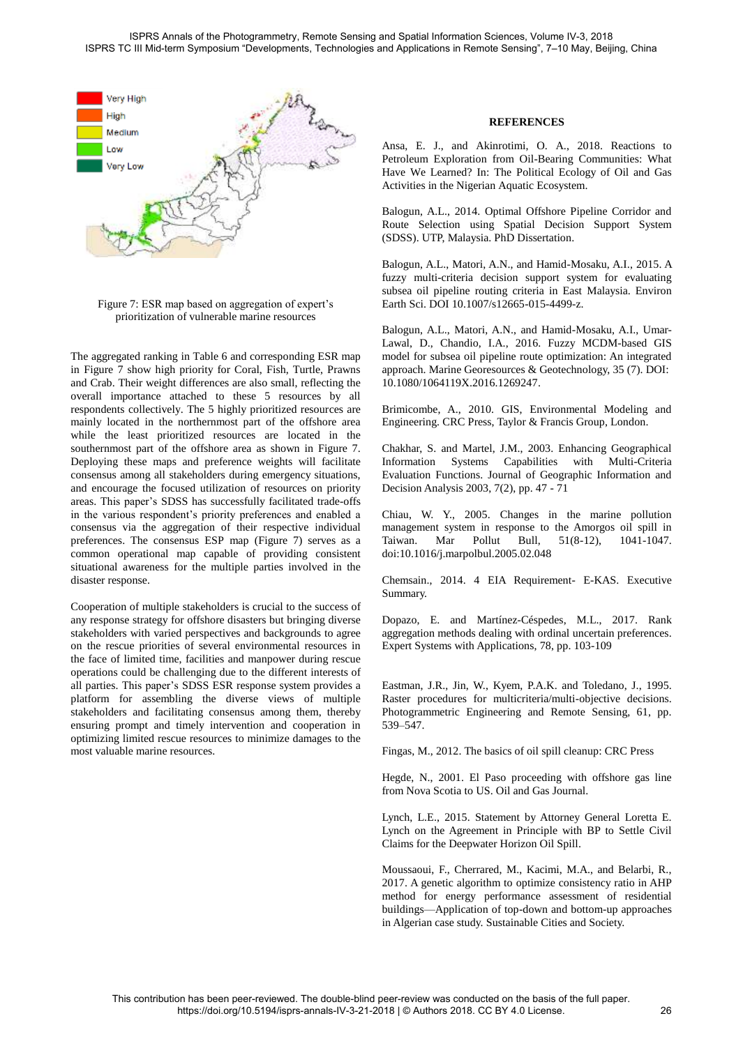

Figure 7: ESR map based on aggregation of expert's prioritization of vulnerable marine resources

The aggregated ranking in Table 6 and corresponding ESR map in Figure 7 show high priority for Coral, Fish, Turtle, Prawns and Crab. Their weight differences are also small, reflecting the overall importance attached to these 5 resources by all respondents collectively. The 5 highly prioritized resources are mainly located in the northernmost part of the offshore area while the least prioritized resources are located in the southernmost part of the offshore area as shown in Figure 7. Deploying these maps and preference weights will facilitate consensus among all stakeholders during emergency situations, and encourage the focused utilization of resources on priority areas. This paper's SDSS has successfully facilitated trade-offs in the various respondent's priority preferences and enabled a consensus via the aggregation of their respective individual preferences. The consensus ESP map (Figure 7) serves as a common operational map capable of providing consistent situational awareness for the multiple parties involved in the disaster response.

Cooperation of multiple stakeholders is crucial to the success of any response strategy for offshore disasters but bringing diverse stakeholders with varied perspectives and backgrounds to agree on the rescue priorities of several environmental resources in the face of limited time, facilities and manpower during rescue operations could be challenging due to the different interests of all parties. This paper's SDSS ESR response system provides a platform for assembling the diverse views of multiple stakeholders and facilitating consensus among them, thereby ensuring prompt and timely intervention and cooperation in optimizing limited rescue resources to minimize damages to the most valuable marine resources.

### **REFERENCES**

Ansa, E. J., and Akinrotimi, O. A., 2018. Reactions to Petroleum Exploration from Oil-Bearing Communities: What Have We Learned? In: The Political Ecology of Oil and Gas Activities in the Nigerian Aquatic Ecosystem.

Balogun, A.L., 2014. Optimal Offshore Pipeline Corridor and Route Selection using Spatial Decision Support System (SDSS). UTP, Malaysia. PhD Dissertation.

Balogun, A.L., Matori, A.N., and Hamid-Mosaku, A.I., 2015. A fuzzy multi-criteria decision support system for evaluating subsea oil pipeline routing criteria in East Malaysia. Environ Earth Sci. DOI 10.1007/s12665-015-4499-z.

Balogun, A.L., Matori, A.N., and Hamid-Mosaku, A.I., Umar-Lawal, D., Chandio, I.A., 2016. Fuzzy MCDM-based GIS model for subsea oil pipeline route optimization: An integrated approach. Marine Georesources & Geotechnology, 35 (7). DOI: 10.1080/1064119X.2016.1269247.

Brimicombe, A., 2010. GIS, Environmental Modeling and Engineering. CRC Press, Taylor & Francis Group, London.

Chakhar, S. and Martel, J.M., 2003. Enhancing Geographical Information Systems Capabilities with Multi-Criteria Evaluation Functions. Journal of Geographic Information and Decision Analysis 2003, 7(2), pp. 47 - 71

Chiau, W. Y., 2005. Changes in the marine pollution management system in response to the Amorgos oil spill in Taiwan. Mar Pollut Bull, 51(8-12), 1041-1047. doi:10.1016/j.marpolbul.2005.02.048

Chemsain., 2014. 4 EIA Requirement- E-KAS. Executive Summary.

[Dopazo,](http://www.sciencedirect.com/science/article/pii/S0957417417300659#!) E. and [Martínez-Céspedes,](http://www.sciencedirect.com/science/article/pii/S0957417417300659#!) M.L., 2017. Rank aggregation methods dealing with ordinal uncertain preferences. Expert Systems with Applications, 78, pp. 103-109

Eastman, J.R., Jin, W., Kyem, P.A.K. and Toledano, J., 1995. Raster procedures for multicriteria/multi-objective decisions. Photogrammetric Engineering and Remote Sensing, 61, pp. 539–547.

Fingas, M., 2012. The basics of oil spill cleanup: CRC Press

Hegde, N., 2001. El Paso proceeding with offshore gas line from Nova Scotia to US. Oil and Gas Journal.

Lynch, L.E., 2015. Statement by Attorney General Loretta E. Lynch on the Agreement in Principle with BP to Settle Civil Claims for the Deepwater Horizon Oil Spill.

Moussaoui, F., Cherrared, M., Kacimi, M.A., and Belarbi, R., 2017. A genetic algorithm to optimize consistency ratio in AHP method for energy performance assessment of residential buildings—Application of top-down and bottom-up approaches in Algerian case study. Sustainable Cities and Society.